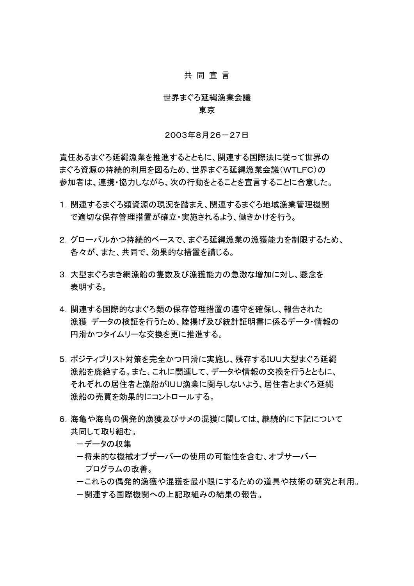## 共 同 宣 言

# 世界まぐろ延縄漁業会議 東京

#### 2003年8月26-27日

責任あるまぐろ延縄漁業を推進するとともに、関連する国際法に従って世界の まぐろ資源の持続的利用を図るため、世界まぐろ延縄漁業会議(WTLFC)の 参加者は、連携・協力しながら、次の行動をとることを宣言することに合意した。

- 1.関連するまぐろ類資源の現況を踏まえ、関連するまぐろ地域漁業管理機関 で適切な保存管理措置が確立・実施されるよう、働きかけを行う。
- 2.グローバルかつ持続的ベースで、まぐろ延縄漁業の漁獲能力を制限するため、 各々が、また、共同で、効果的な措置を講じる。
- 3.大型まぐろまき網漁船の隻数及び漁獲能力の急激な増加に対し、懸念を 表明する。
- 4.関連する国際的なまぐろ類の保存管理措置の遵守を確保し、報告された 漁獲 データの検証を行うため、陸揚げ及び統計証明書に係るデータ・情報の 円滑かつタイムリーな交換を更に推進する。
- 5.ポジティブリスト対策を完全かつ円滑に実施し、残存するIUU大型まぐろ延縄 漁船を廃絶する。また、これに関連して、データや情報の交換を行うとともに、 それぞれの居住者と漁船がIUU漁業に関与しないよう、居住者とまぐろ延縄 漁船の売買を効果的にコントロールする。
- 6.海亀や海鳥の偶発的漁獲及びサメの混獲に関しては、継続的に下記について 共同して取り組む。
	- -データの収集
	- -将来的な機械オブザーバーの使用の可能性を含む、オブサーバー プログラムの改善。
	- -これらの偶発的漁獲や混獲を最小限にするための道具や技術の研究と利用。 -関連する国際機関への上記取組みの結果の報告。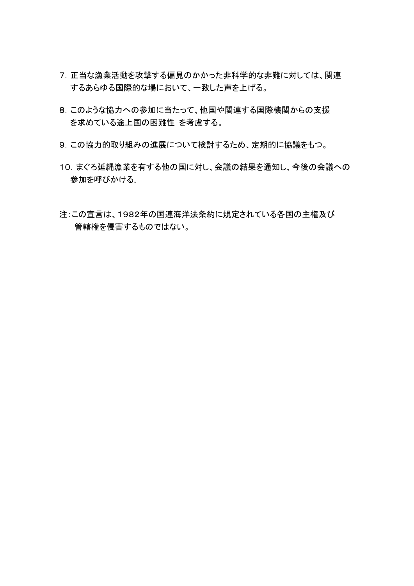- 7.正当な漁業活動を攻撃する偏見のかかった非科学的な非難に対しては、関連 するあらゆる国際的な場において、一致した声を上げる。
- 8.このような協力への参加に当たって、他国や関連する国際機関からの支援 を求めている途上国の困難性 を考慮する。
- 9.この協力的取り組みの進展について検討するため、定期的に協議をもつ。
- 10.まぐろ延縄漁業を有する他の国に対し、会議の結果を通知し、今後の会議への 参加を呼びかける。
- 注:この宣言は、1982年の国連海洋法条約に規定されている各国の主権及び 管轄権を侵害するものではない。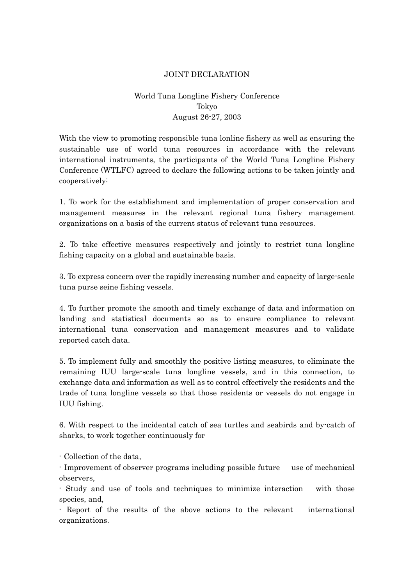## JOINT DECLARATION

## World Tuna Longline Fishery Conference Tokyo August 26-27, 2003

With the view to promoting responsible tuna lonline fishery as well as ensuring the sustainable use of world tuna resources in accordance with the relevant international instruments, the participants of the World Tuna Longline Fishery Conference (WTLFC) agreed to declare the following actions to be taken jointly and cooperatively:

1. To work for the establishment and implementation of proper conservation and management measures in the relevant regional tuna fishery management organizations on a basis of the current status of relevant tuna resources.

2. To take effective measures respectively and jointly to restrict tuna longline fishing capacity on a global and sustainable basis.

3. To express concern over the rapidly increasing number and capacity of large-scale tuna purse seine fishing vessels.

4. To further promote the smooth and timely exchange of data and information on landing and statistical documents so as to ensure compliance to relevant international tuna conservation and management measures and to validate reported catch data.

5. To implement fully and smoothly the positive listing measures, to eliminate the remaining IUU large-scale tuna longline vessels, and in this connection, to exchange data and information as well as to control effectively the residents and the trade of tuna longline vessels so that those residents or vessels do not engage in IUU fishing.

6. With respect to the incidental catch of sea turtles and seabirds and by-catch of sharks, to work together continuously for

- Collection of the data,

- Improvement of observer programs including possible future use of mechanical observers,

- Study and use of tools and techniques to minimize interaction with those species, and,

- Report of the results of the above actions to the relevant international organizations.